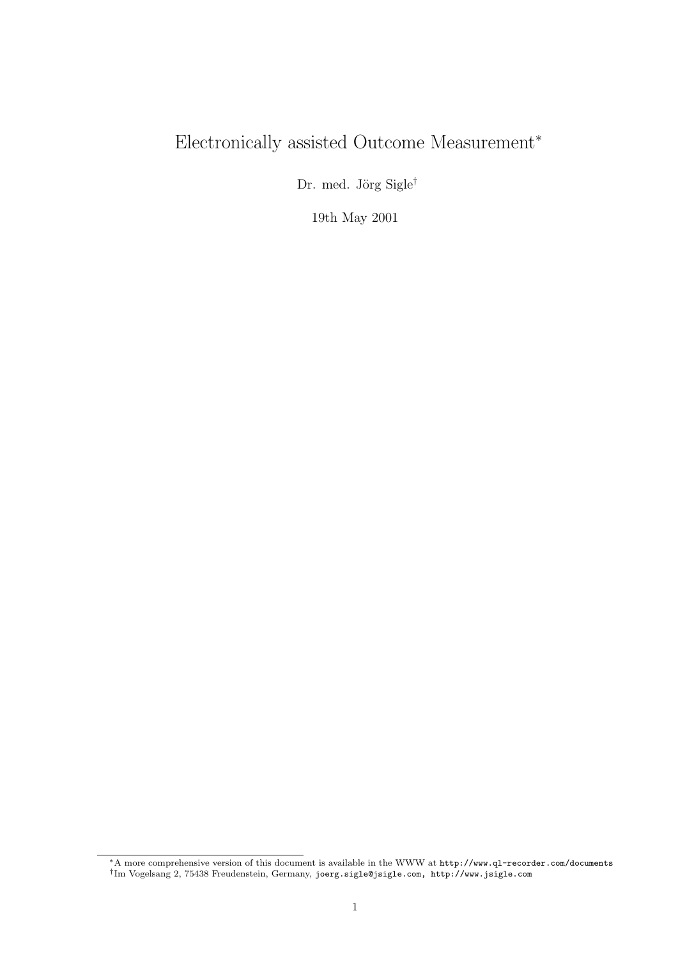# Electronically assisted Outcome Measurement<sup>∗</sup>

Dr. med. Jörg $\mathrm{Sigle}^\dagger$ 

19th May 2001

<sup>∗</sup>A more comprehensive version of this document is available in the WWW at http://www.ql-recorder.com/documents † Im Vogelsang 2, 75438 Freudenstein, Germany, joerg.sigle@jsigle.com, http://www.jsigle.com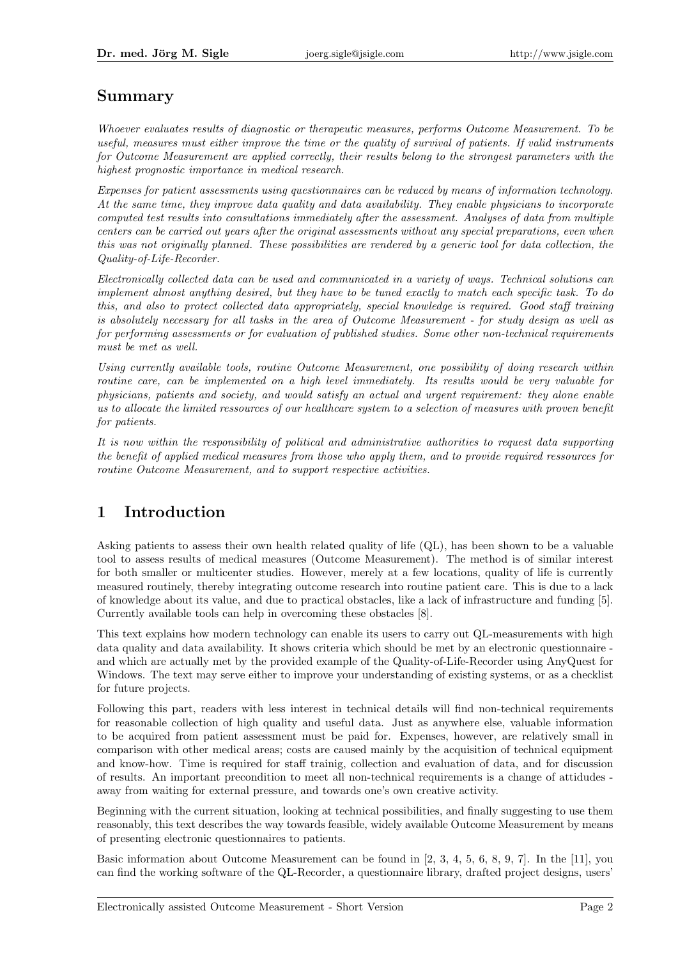### Summary

Whoever evaluates results of diagnostic or therapeutic measures, performs Outcome Measurement. To be useful, measures must either improve the time or the quality of survival of patients. If valid instruments for Outcome Measurement are applied correctly, their results belong to the strongest parameters with the highest prognostic importance in medical research.

Expenses for patient assessments using questionnaires can be reduced by means of information technology. At the same time, they improve data quality and data availability. They enable physicians to incorporate computed test results into consultations immediately after the assessment. Analyses of data from multiple centers can be carried out years after the original assessments without any special preparations, even when this was not originally planned. These possibilities are rendered by a generic tool for data collection, the Quality-of-Life-Recorder.

Electronically collected data can be used and communicated in a variety of ways. Technical solutions can implement almost anything desired, but they have to be tuned exactly to match each specific task. To do this, and also to protect collected data appropriately, special knowledge is required. Good staff training is absolutely necessary for all tasks in the area of Outcome Measurement - for study design as well as for performing assessments or for evaluation of published studies. Some other non-technical requirements must be met as well.

Using currently available tools, routine Outcome Measurement, one possibility of doing research within routine care, can be implemented on a high level immediately. Its results would be very valuable for physicians, patients and society, and would satisfy an actual and urgent requirement: they alone enable us to allocate the limited ressources of our healthcare system to a selection of measures with proven benefit for patients.

It is now within the responsibility of political and administrative authorities to request data supporting the benefit of applied medical measures from those who apply them, and to provide required ressources for routine Outcome Measurement, and to support respective activities.

# 1 Introduction

Asking patients to assess their own health related quality of life (QL), has been shown to be a valuable tool to assess results of medical measures (Outcome Measurement). The method is of similar interest for both smaller or multicenter studies. However, merely at a few locations, quality of life is currently measured routinely, thereby integrating outcome research into routine patient care. This is due to a lack of knowledge about its value, and due to practical obstacles, like a lack of infrastructure and funding [5]. Currently available tools can help in overcoming these obstacles [8].

This text explains how modern technology can enable its users to carry out QL-measurements with high data quality and data availability. It shows criteria which should be met by an electronic questionnaire and which are actually met by the provided example of the Quality-of-Life-Recorder using AnyQuest for Windows. The text may serve either to improve your understanding of existing systems, or as a checklist for future projects.

Following this part, readers with less interest in technical details will find non-technical requirements for reasonable collection of high quality and useful data. Just as anywhere else, valuable information to be acquired from patient assessment must be paid for. Expenses, however, are relatively small in comparison with other medical areas; costs are caused mainly by the acquisition of technical equipment and know-how. Time is required for staff trainig, collection and evaluation of data, and for discussion of results. An important precondition to meet all non-technical requirements is a change of attidudes away from waiting for external pressure, and towards one's own creative activity.

Beginning with the current situation, looking at technical possibilities, and finally suggesting to use them reasonably, this text describes the way towards feasible, widely available Outcome Measurement by means of presenting electronic questionnaires to patients.

Basic information about Outcome Measurement can be found in [2, 3, 4, 5, 6, 8, 9, 7]. In the [11], you can find the working software of the QL-Recorder, a questionnaire library, drafted project designs, users'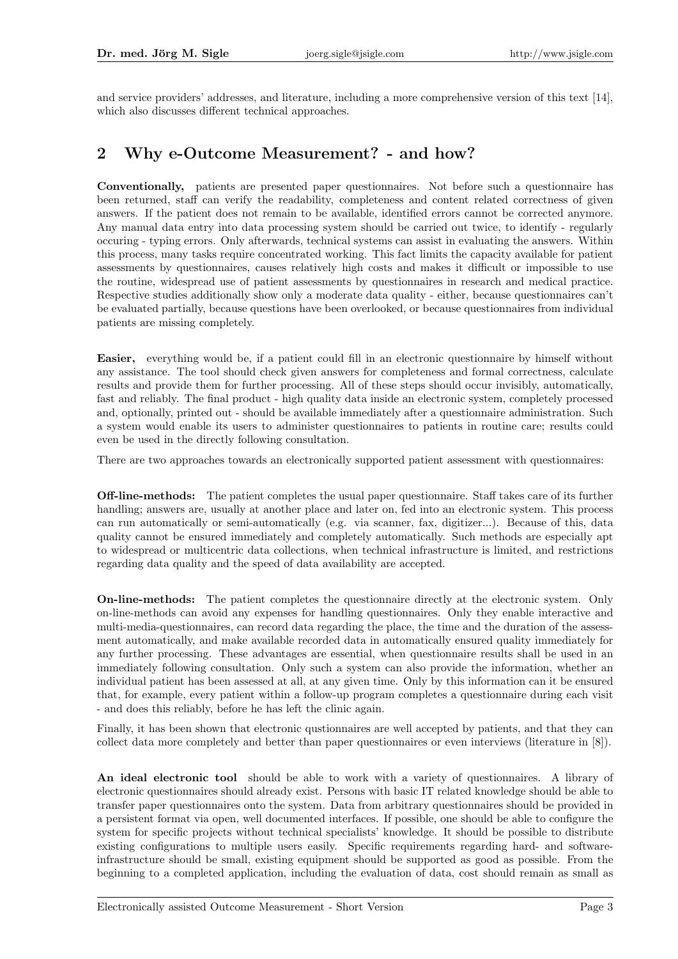and service providers' addresses, and literature, including a more comprehensive version of this text [14], which also discusses different technical approaches.

#### 2 Why e-Outcome Measurement? - and how?

Conventionally, patients are presented paper questionnaires. Not before such a questionnaire has been returned, staff can verify the readability, completeness and content related correctness of given answers. If the patient does not remain to be available, identified errors cannot be corrected anymore. Any manual data entry into data processing system should be carried out twice, to identify - regularly occuring - typing errors. Only afterwards, technical systems can assist in evaluating the answers. Within this process, many tasks require concentrated working. This fact limits the capacity available for patient assessments by questionnaires, causes relatively high costs and makes it difficult or impossible to use the routine, widespread use of patient assessments by questionnaires in research and medical practice. Respective studies additionally show only a moderate data quality - either, because questionnaires can't be evaluated partially, because questions have been overlooked, or because questionnaires from individual patients are missing completely.

Easier, everything would be, if a patient could fill in an electronic questionnaire by himself without any assistance. The tool should check given answers for completeness and formal correctness, calculate results and provide them for further processing. All of these steps should occur invisibly, automatically, fast and reliably. The final product - high quality data inside an electronic system, completely processed and, optionally, printed out - should be available immediately after a questionnaire administration. Such a system would enable its users to administer questionnaires to patients in routine care; results could even be used in the directly following consultation.

There are two approaches towards an electronically supported patient assessment with questionnaires:

Off-line-methods: The patient completes the usual paper questionnaire. Staff takes care of its further handling; answers are, usually at another place and later on, fed into an electronic system. This process can run automatically or semi-automatically (e.g. via scanner, fax, digitizer...). Because of this, data quality cannot be ensured immediately and completely automatically. Such methods are especially apt to widespread or multicentric data collections, when technical infrastructure is limited, and restrictions regarding data quality and the speed of data availability are accepted.

On-line-methods: The patient completes the questionnaire directly at the electronic system. Only on-line-methods can avoid any expenses for handling questionnaires. Only they enable interactive and multi-media-questionnaires, can record data regarding the place, the time and the duration of the assessment automatically, and make available recorded data in automatically ensured quality immediately for any further processing. These advantages are essential, when questionnaire results shall be used in an immediately following consultation. Only such a system can also provide the information, whether an individual patient has been assessed at all, at any given time. Only by this information can it be ensured that, for example, every patient within a follow-up program completes a questionnaire during each visit - and does this reliably, before he has left the clinic again.

Finally, it has been shown that electronic qustionnaires are well accepted by patients, and that they can collect data more completely and better than paper questionnaires or even interviews (literature in [8]).

An ideal electronic tool should be able to work with a variety of questionnaires. A library of electronic questionnaires should already exist. Persons with basic IT related knowledge should be able to transfer paper questionnaires onto the system. Data from arbitrary questionnaires should be provided in a persistent format via open, well documented interfaces. If possible, one should be able to configure the system for specific projects without technical specialists' knowledge. It should be possible to distribute existing configurations to multiple users easily. Specific requirements regarding hard- and softwareinfrastructure should be small, existing equipment should be supported as good as possible. From the beginning to a completed application, including the evaluation of data, cost should remain as small as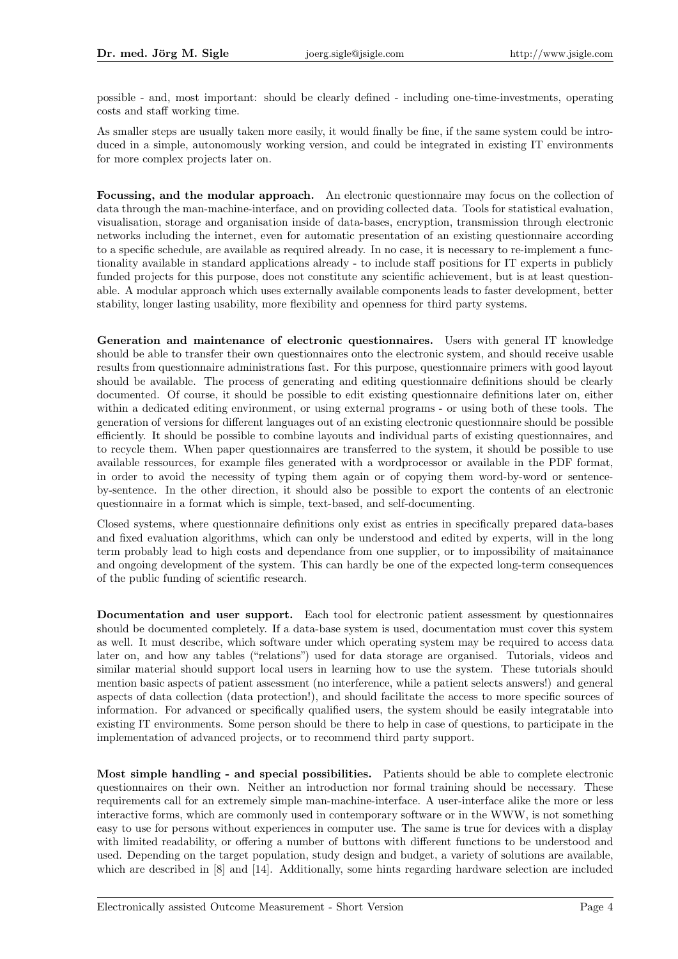possible - and, most important: should be clearly defined - including one-time-investments, operating costs and staff working time.

As smaller steps are usually taken more easily, it would finally be fine, if the same system could be introduced in a simple, autonomously working version, and could be integrated in existing IT environments for more complex projects later on.

Focussing, and the modular approach. An electronic questionnaire may focus on the collection of data through the man-machine-interface, and on providing collected data. Tools for statistical evaluation, visualisation, storage and organisation inside of data-bases, encryption, transmission through electronic networks including the internet, even for automatic presentation of an existing questionnaire according to a specific schedule, are available as required already. In no case, it is necessary to re-implement a functionality available in standard applications already - to include staff positions for IT experts in publicly funded projects for this purpose, does not constitute any scientific achievement, but is at least questionable. A modular approach which uses externally available components leads to faster development, better stability, longer lasting usability, more flexibility and openness for third party systems.

Generation and maintenance of electronic questionnaires. Users with general IT knowledge should be able to transfer their own questionnaires onto the electronic system, and should receive usable results from questionnaire administrations fast. For this purpose, questionnaire primers with good layout should be available. The process of generating and editing questionnaire definitions should be clearly documented. Of course, it should be possible to edit existing questionnaire definitions later on, either within a dedicated editing environment, or using external programs - or using both of these tools. The generation of versions for different languages out of an existing electronic questionnaire should be possible efficiently. It should be possible to combine layouts and individual parts of existing questionnaires, and to recycle them. When paper questionnaires are transferred to the system, it should be possible to use available ressources, for example files generated with a wordprocessor or available in the PDF format, in order to avoid the necessity of typing them again or of copying them word-by-word or sentenceby-sentence. In the other direction, it should also be possible to export the contents of an electronic questionnaire in a format which is simple, text-based, and self-documenting.

Closed systems, where questionnaire definitions only exist as entries in specifically prepared data-bases and fixed evaluation algorithms, which can only be understood and edited by experts, will in the long term probably lead to high costs and dependance from one supplier, or to impossibility of maitainance and ongoing development of the system. This can hardly be one of the expected long-term consequences of the public funding of scientific research.

Documentation and user support. Each tool for electronic patient assessment by questionnaires should be documented completely. If a data-base system is used, documentation must cover this system as well. It must describe, which software under which operating system may be required to access data later on, and how any tables ("relations") used for data storage are organised. Tutorials, videos and similar material should support local users in learning how to use the system. These tutorials should mention basic aspects of patient assessment (no interference, while a patient selects answers!) and general aspects of data collection (data protection!), and should facilitate the access to more specific sources of information. For advanced or specifically qualified users, the system should be easily integratable into existing IT environments. Some person should be there to help in case of questions, to participate in the implementation of advanced projects, or to recommend third party support.

Most simple handling - and special possibilities. Patients should be able to complete electronic questionnaires on their own. Neither an introduction nor formal training should be necessary. These requirements call for an extremely simple man-machine-interface. A user-interface alike the more or less interactive forms, which are commonly used in contemporary software or in the WWW, is not something easy to use for persons without experiences in computer use. The same is true for devices with a display with limited readability, or offering a number of buttons with different functions to be understood and used. Depending on the target population, study design and budget, a variety of solutions are available, which are described in [8] and [14]. Additionally, some hints regarding hardware selection are included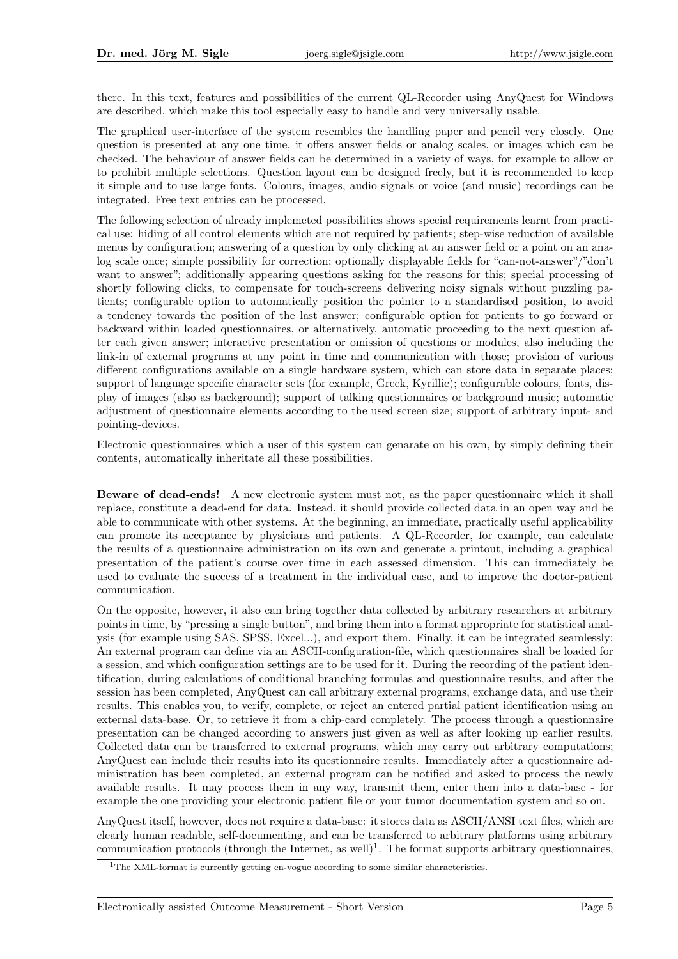there. In this text, features and possibilities of the current QL-Recorder using AnyQuest for Windows are described, which make this tool especially easy to handle and very universally usable.

The graphical user-interface of the system resembles the handling paper and pencil very closely. One question is presented at any one time, it offers answer fields or analog scales, or images which can be checked. The behaviour of answer fields can be determined in a variety of ways, for example to allow or to prohibit multiple selections. Question layout can be designed freely, but it is recommended to keep it simple and to use large fonts. Colours, images, audio signals or voice (and music) recordings can be integrated. Free text entries can be processed.

The following selection of already implemeted possibilities shows special requirements learnt from practical use: hiding of all control elements which are not required by patients; step-wise reduction of available menus by configuration; answering of a question by only clicking at an answer field or a point on an analog scale once; simple possibility for correction; optionally displayable fields for "can-not-answer"/"don't want to answer"; additionally appearing questions asking for the reasons for this; special processing of shortly following clicks, to compensate for touch-screens delivering noisy signals without puzzling patients; configurable option to automatically position the pointer to a standardised position, to avoid a tendency towards the position of the last answer; configurable option for patients to go forward or backward within loaded questionnaires, or alternatively, automatic proceeding to the next question after each given answer; interactive presentation or omission of questions or modules, also including the link-in of external programs at any point in time and communication with those; provision of various different configurations available on a single hardware system, which can store data in separate places; support of language specific character sets (for example, Greek, Kyrillic); configurable colours, fonts, display of images (also as background); support of talking questionnaires or background music; automatic adjustment of questionnaire elements according to the used screen size; support of arbitrary input- and pointing-devices.

Electronic questionnaires which a user of this system can genarate on his own, by simply defining their contents, automatically inheritate all these possibilities.

Beware of dead-ends! A new electronic system must not, as the paper questionnaire which it shall replace, constitute a dead-end for data. Instead, it should provide collected data in an open way and be able to communicate with other systems. At the beginning, an immediate, practically useful applicability can promote its acceptance by physicians and patients. A QL-Recorder, for example, can calculate the results of a questionnaire administration on its own and generate a printout, including a graphical presentation of the patient's course over time in each assessed dimension. This can immediately be used to evaluate the success of a treatment in the individual case, and to improve the doctor-patient communication.

On the opposite, however, it also can bring together data collected by arbitrary researchers at arbitrary points in time, by "pressing a single button", and bring them into a format appropriate for statistical analysis (for example using SAS, SPSS, Excel...), and export them. Finally, it can be integrated seamlessly: An external program can define via an ASCII-configuration-file, which questionnaires shall be loaded for a session, and which configuration settings are to be used for it. During the recording of the patient identification, during calculations of conditional branching formulas and questionnaire results, and after the session has been completed, AnyQuest can call arbitrary external programs, exchange data, and use their results. This enables you, to verify, complete, or reject an entered partial patient identification using an external data-base. Or, to retrieve it from a chip-card completely. The process through a questionnaire presentation can be changed according to answers just given as well as after looking up earlier results. Collected data can be transferred to external programs, which may carry out arbitrary computations; AnyQuest can include their results into its questionnaire results. Immediately after a questionnaire administration has been completed, an external program can be notified and asked to process the newly available results. It may process them in any way, transmit them, enter them into a data-base - for example the one providing your electronic patient file or your tumor documentation system and so on.

AnyQuest itself, however, does not require a data-base: it stores data as ASCII/ANSI text files, which are clearly human readable, self-documenting, and can be transferred to arbitrary platforms using arbitrary communication protocols (through the Internet, as well)<sup>1</sup>. The format supports arbitrary questionnaires,

<sup>&</sup>lt;sup>1</sup>The XML-format is currently getting en-vogue according to some similar characteristics.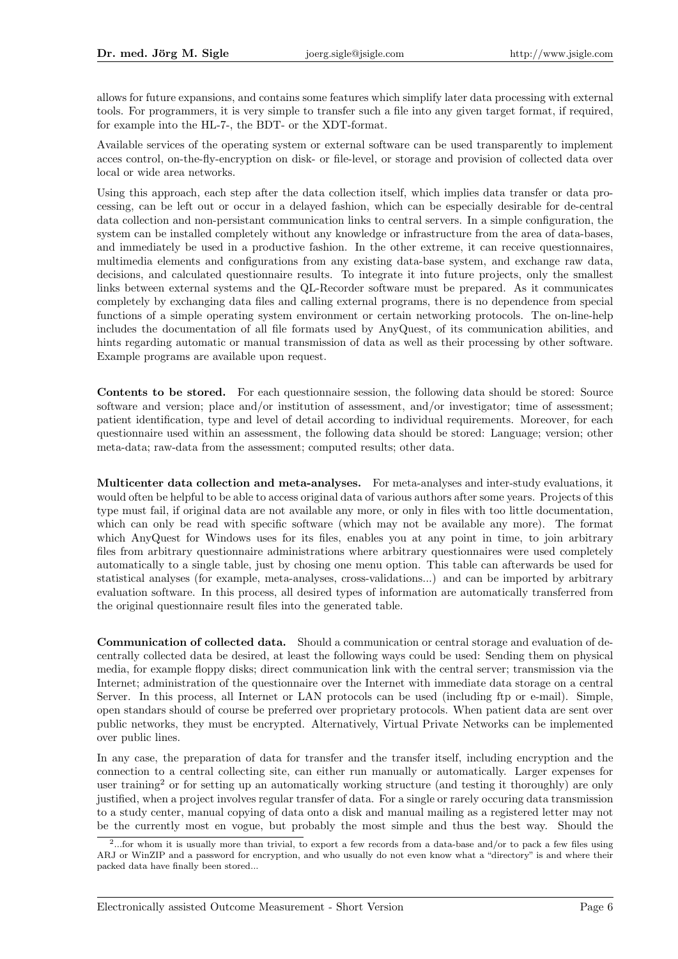allows for future expansions, and contains some features which simplify later data processing with external tools. For programmers, it is very simple to transfer such a file into any given target format, if required, for example into the HL-7-, the BDT- or the XDT-format.

Available services of the operating system or external software can be used transparently to implement acces control, on-the-fly-encryption on disk- or file-level, or storage and provision of collected data over local or wide area networks.

Using this approach, each step after the data collection itself, which implies data transfer or data processing, can be left out or occur in a delayed fashion, which can be especially desirable for de-central data collection and non-persistant communication links to central servers. In a simple configuration, the system can be installed completely without any knowledge or infrastructure from the area of data-bases, and immediately be used in a productive fashion. In the other extreme, it can receive questionnaires, multimedia elements and configurations from any existing data-base system, and exchange raw data, decisions, and calculated questionnaire results. To integrate it into future projects, only the smallest links between external systems and the QL-Recorder software must be prepared. As it communicates completely by exchanging data files and calling external programs, there is no dependence from special functions of a simple operating system environment or certain networking protocols. The on-line-help includes the documentation of all file formats used by AnyQuest, of its communication abilities, and hints regarding automatic or manual transmission of data as well as their processing by other software. Example programs are available upon request.

Contents to be stored. For each questionnaire session, the following data should be stored: Source software and version; place and/or institution of assessment, and/or investigator; time of assessment; patient identification, type and level of detail according to individual requirements. Moreover, for each questionnaire used within an assessment, the following data should be stored: Language; version; other meta-data; raw-data from the assessment; computed results; other data.

Multicenter data collection and meta-analyses. For meta-analyses and inter-study evaluations, it would often be helpful to be able to access original data of various authors after some years. Projects of this type must fail, if original data are not available any more, or only in files with too little documentation, which can only be read with specific software (which may not be available any more). The format which AnyQuest for Windows uses for its files, enables you at any point in time, to join arbitrary files from arbitrary questionnaire administrations where arbitrary questionnaires were used completely automatically to a single table, just by chosing one menu option. This table can afterwards be used for statistical analyses (for example, meta-analyses, cross-validations...) and can be imported by arbitrary evaluation software. In this process, all desired types of information are automatically transferred from the original questionnaire result files into the generated table.

Communication of collected data. Should a communication or central storage and evaluation of decentrally collected data be desired, at least the following ways could be used: Sending them on physical media, for example floppy disks; direct communication link with the central server; transmission via the Internet; administration of the questionnaire over the Internet with immediate data storage on a central Server. In this process, all Internet or LAN protocols can be used (including ftp or e-mail). Simple, open standars should of course be preferred over proprietary protocols. When patient data are sent over public networks, they must be encrypted. Alternatively, Virtual Private Networks can be implemented over public lines.

In any case, the preparation of data for transfer and the transfer itself, including encryption and the connection to a central collecting site, can either run manually or automatically. Larger expenses for user training<sup>2</sup> or for setting up an automatically working structure (and testing it thoroughly) are only justified, when a project involves regular transfer of data. For a single or rarely occuring data transmission to a study center, manual copying of data onto a disk and manual mailing as a registered letter may not be the currently most en vogue, but probably the most simple and thus the best way. Should the

<sup>2</sup> ...for whom it is usually more than trivial, to export a few records from a data-base and/or to pack a few files using ARJ or WinZIP and a password for encryption, and who usually do not even know what a "directory" is and where their packed data have finally been stored...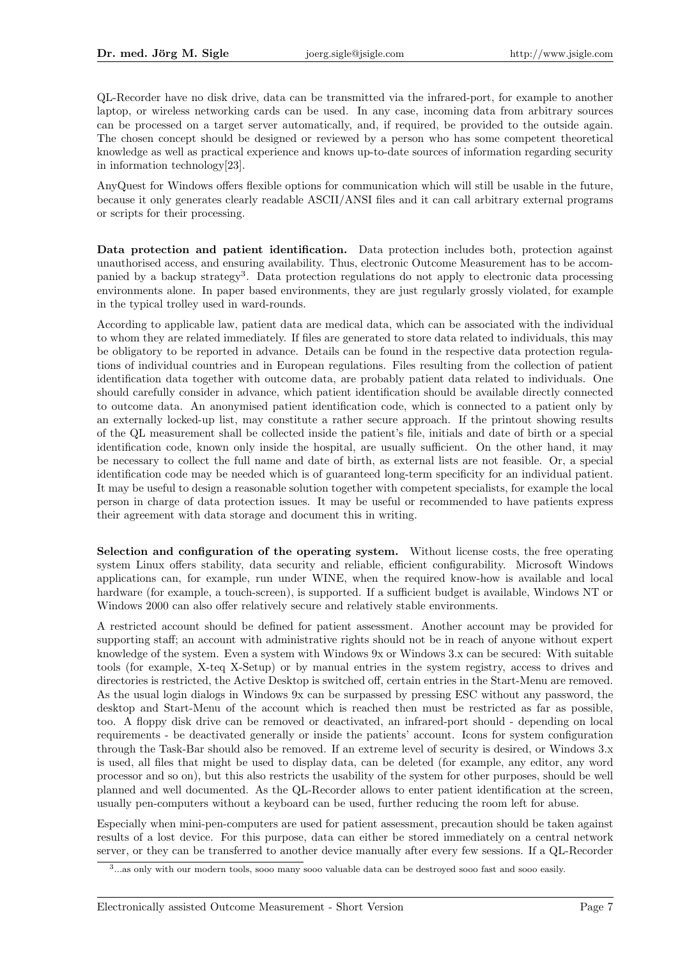QL-Recorder have no disk drive, data can be transmitted via the infrared-port, for example to another laptop, or wireless networking cards can be used. In any case, incoming data from arbitrary sources can be processed on a target server automatically, and, if required, be provided to the outside again. The chosen concept should be designed or reviewed by a person who has some competent theoretical knowledge as well as practical experience and knows up-to-date sources of information regarding security in information technology[23].

AnyQuest for Windows offers flexible options for communication which will still be usable in the future, because it only generates clearly readable ASCII/ANSI files and it can call arbitrary external programs or scripts for their processing.

Data protection and patient identification. Data protection includes both, protection against unauthorised access, and ensuring availability. Thus, electronic Outcome Measurement has to be accompanied by a backup strategy<sup>3</sup>. Data protection regulations do not apply to electronic data processing environments alone. In paper based environments, they are just regularly grossly violated, for example in the typical trolley used in ward-rounds.

According to applicable law, patient data are medical data, which can be associated with the individual to whom they are related immediately. If files are generated to store data related to individuals, this may be obligatory to be reported in advance. Details can be found in the respective data protection regulations of individual countries and in European regulations. Files resulting from the collection of patient identification data together with outcome data, are probably patient data related to individuals. One should carefully consider in advance, which patient identification should be available directly connected to outcome data. An anonymised patient identification code, which is connected to a patient only by an externally locked-up list, may constitute a rather secure approach. If the printout showing results of the QL measurement shall be collected inside the patient's file, initials and date of birth or a special identification code, known only inside the hospital, are usually sufficient. On the other hand, it may be necessary to collect the full name and date of birth, as external lists are not feasible. Or, a special identification code may be needed which is of guaranteed long-term specificity for an individual patient. It may be useful to design a reasonable solution together with competent specialists, for example the local person in charge of data protection issues. It may be useful or recommended to have patients express their agreement with data storage and document this in writing.

Selection and configuration of the operating system. Without license costs, the free operating system Linux offers stability, data security and reliable, efficient configurability. Microsoft Windows applications can, for example, run under WINE, when the required know-how is available and local hardware (for example, a touch-screen), is supported. If a sufficient budget is available, Windows NT or Windows 2000 can also offer relatively secure and relatively stable environments.

A restricted account should be defined for patient assessment. Another account may be provided for supporting staff; an account with administrative rights should not be in reach of anyone without expert knowledge of the system. Even a system with Windows 9x or Windows 3.x can be secured: With suitable tools (for example, X-teq X-Setup) or by manual entries in the system registry, access to drives and directories is restricted, the Active Desktop is switched off, certain entries in the Start-Menu are removed. As the usual login dialogs in Windows 9x can be surpassed by pressing ESC without any password, the desktop and Start-Menu of the account which is reached then must be restricted as far as possible, too. A floppy disk drive can be removed or deactivated, an infrared-port should - depending on local requirements - be deactivated generally or inside the patients' account. Icons for system configuration through the Task-Bar should also be removed. If an extreme level of security is desired, or Windows 3.x is used, all files that might be used to display data, can be deleted (for example, any editor, any word processor and so on), but this also restricts the usability of the system for other purposes, should be well planned and well documented. As the QL-Recorder allows to enter patient identification at the screen, usually pen-computers without a keyboard can be used, further reducing the room left for abuse.

Especially when mini-pen-computers are used for patient assessment, precaution should be taken against results of a lost device. For this purpose, data can either be stored immediately on a central network server, or they can be transferred to another device manually after every few sessions. If a QL-Recorder

<sup>3</sup> ...as only with our modern tools, sooo many sooo valuable data can be destroyed sooo fast and sooo easily.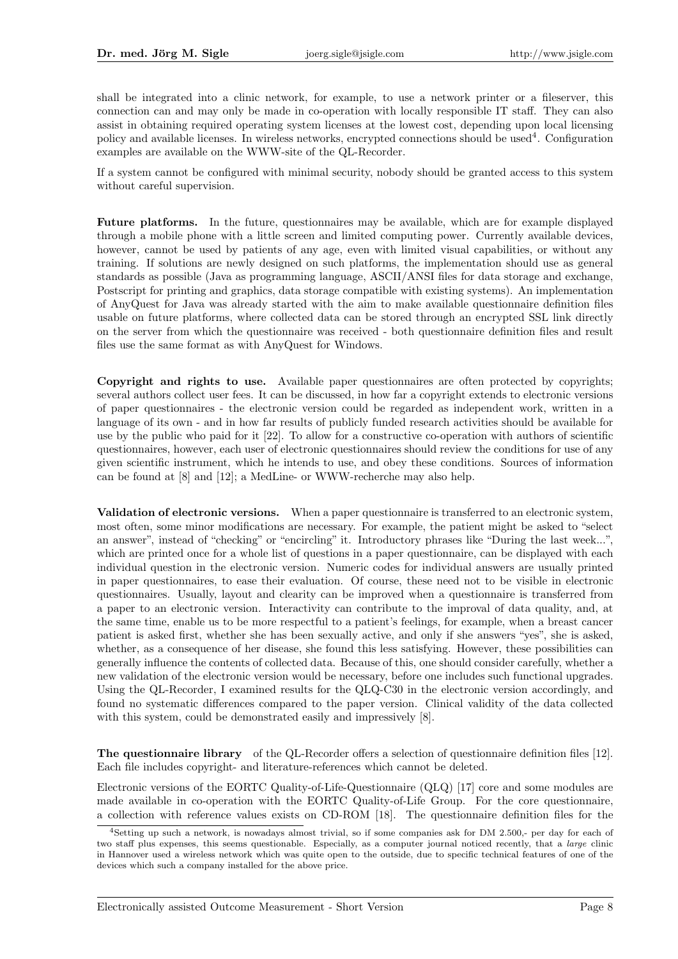shall be integrated into a clinic network, for example, to use a network printer or a fileserver, this connection can and may only be made in co-operation with locally responsible IT staff. They can also assist in obtaining required operating system licenses at the lowest cost, depending upon local licensing policy and available licenses. In wireless networks, encrypted connections should be used<sup>4</sup>. Configuration examples are available on the WWW-site of the QL-Recorder.

If a system cannot be configured with minimal security, nobody should be granted access to this system without careful supervision.

Future platforms. In the future, questionnaires may be available, which are for example displayed through a mobile phone with a little screen and limited computing power. Currently available devices, however, cannot be used by patients of any age, even with limited visual capabilities, or without any training. If solutions are newly designed on such platforms, the implementation should use as general standards as possible (Java as programming language, ASCII/ANSI files for data storage and exchange, Postscript for printing and graphics, data storage compatible with existing systems). An implementation of AnyQuest for Java was already started with the aim to make available questionnaire definition files usable on future platforms, where collected data can be stored through an encrypted SSL link directly on the server from which the questionnaire was received - both questionnaire definition files and result files use the same format as with AnyQuest for Windows.

Copyright and rights to use. Available paper questionnaires are often protected by copyrights; several authors collect user fees. It can be discussed, in how far a copyright extends to electronic versions of paper questionnaires - the electronic version could be regarded as independent work, written in a language of its own - and in how far results of publicly funded research activities should be available for use by the public who paid for it [22]. To allow for a constructive co-operation with authors of scientific questionnaires, however, each user of electronic questionnaires should review the conditions for use of any given scientific instrument, which he intends to use, and obey these conditions. Sources of information can be found at [8] and [12]; a MedLine- or WWW-recherche may also help.

Validation of electronic versions. When a paper questionnaire is transferred to an electronic system, most often, some minor modifications are necessary. For example, the patient might be asked to "select an answer", instead of "checking" or "encircling" it. Introductory phrases like "During the last week...", which are printed once for a whole list of questions in a paper questionnaire, can be displayed with each individual question in the electronic version. Numeric codes for individual answers are usually printed in paper questionnaires, to ease their evaluation. Of course, these need not to be visible in electronic questionnaires. Usually, layout and clearity can be improved when a questionnaire is transferred from a paper to an electronic version. Interactivity can contribute to the improval of data quality, and, at the same time, enable us to be more respectful to a patient's feelings, for example, when a breast cancer patient is asked first, whether she has been sexually active, and only if she answers "yes", she is asked, whether, as a consequence of her disease, she found this less satisfying. However, these possibilities can generally influence the contents of collected data. Because of this, one should consider carefully, whether a new validation of the electronic version would be necessary, before one includes such functional upgrades. Using the QL-Recorder, I examined results for the QLQ-C30 in the electronic version accordingly, and found no systematic differences compared to the paper version. Clinical validity of the data collected with this system, could be demonstrated easily and impressively  $[8]$ .

The questionnaire library of the QL-Recorder offers a selection of questionnaire definition files [12]. Each file includes copyright- and literature-references which cannot be deleted.

Electronic versions of the EORTC Quality-of-Life-Questionnaire (QLQ) [17] core and some modules are made available in co-operation with the EORTC Quality-of-Life Group. For the core questionnaire, a collection with reference values exists on CD-ROM [18]. The questionnaire definition files for the

<sup>4</sup>Setting up such a network, is nowadays almost trivial, so if some companies ask for DM 2.500,- per day for each of two staff plus expenses, this seems questionable. Especially, as a computer journal noticed recently, that a *large* clinic in Hannover used a wireless network which was quite open to the outside, due to specific technical features of one of the devices which such a company installed for the above price.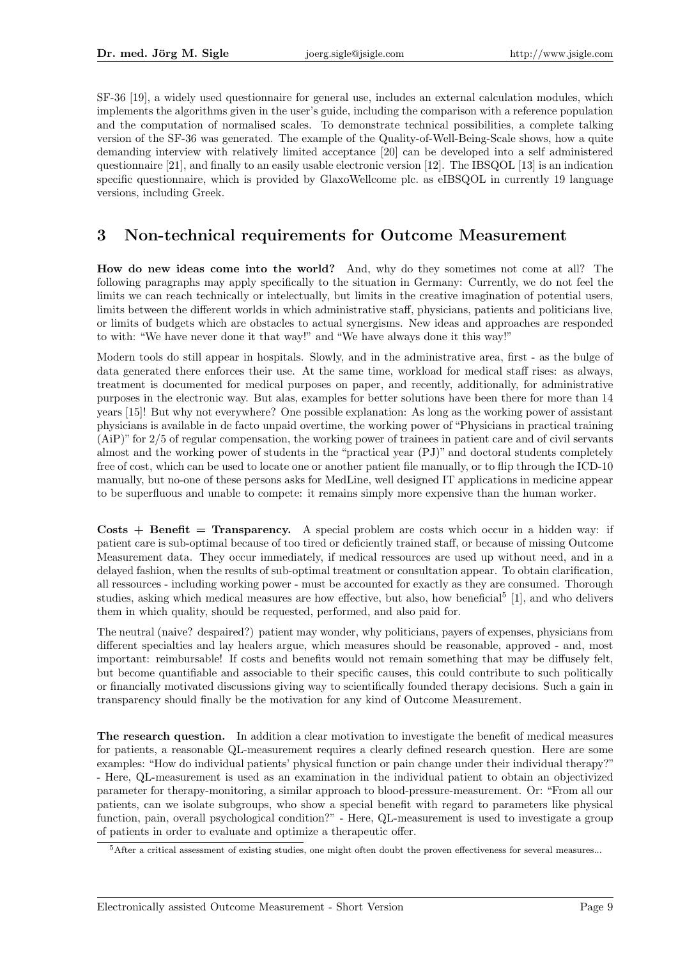SF-36 [19], a widely used questionnaire for general use, includes an external calculation modules, which implements the algorithms given in the user's guide, including the comparison with a reference population and the computation of normalised scales. To demonstrate technical possibilities, a complete talking version of the SF-36 was generated. The example of the Quality-of-Well-Being-Scale shows, how a quite demanding interview with relatively limited acceptance [20] can be developed into a self administered questionnaire [21], and finally to an easily usable electronic version [12]. The IBSQOL [13] is an indication specific questionnaire, which is provided by GlaxoWellcome plc. as eIBSQOL in currently 19 language versions, including Greek.

#### 3 Non-technical requirements for Outcome Measurement

How do new ideas come into the world? And, why do they sometimes not come at all? The following paragraphs may apply specifically to the situation in Germany: Currently, we do not feel the limits we can reach technically or intelectually, but limits in the creative imagination of potential users, limits between the different worlds in which administrative staff, physicians, patients and politicians live, or limits of budgets which are obstacles to actual synergisms. New ideas and approaches are responded to with: "We have never done it that way!" and "We have always done it this way!"

Modern tools do still appear in hospitals. Slowly, and in the administrative area, first - as the bulge of data generated there enforces their use. At the same time, workload for medical staff rises: as always, treatment is documented for medical purposes on paper, and recently, additionally, for administrative purposes in the electronic way. But alas, examples for better solutions have been there for more than 14 years [15]! But why not everywhere? One possible explanation: As long as the working power of assistant physicians is available in de facto unpaid overtime, the working power of "Physicians in practical training (AiP)" for 2/5 of regular compensation, the working power of trainees in patient care and of civil servants almost and the working power of students in the "practical year (PJ)" and doctoral students completely free of cost, which can be used to locate one or another patient file manually, or to flip through the ICD-10 manually, but no-one of these persons asks for MedLine, well designed IT applications in medicine appear to be superfluous and unable to compete: it remains simply more expensive than the human worker.

Costs  $+$  Benefit = Transparency. A special problem are costs which occur in a hidden way: if patient care is sub-optimal because of too tired or deficiently trained staff, or because of missing Outcome Measurement data. They occur immediately, if medical ressources are used up without need, and in a delayed fashion, when the results of sub-optimal treatment or consultation appear. To obtain clarification, all ressources - including working power - must be accounted for exactly as they are consumed. Thorough studies, asking which medical measures are how effective, but also, how beneficial<sup>5</sup> [1], and who delivers them in which quality, should be requested, performed, and also paid for.

The neutral (naive? despaired?) patient may wonder, why politicians, payers of expenses, physicians from different specialties and lay healers argue, which measures should be reasonable, approved - and, most important: reimbursable! If costs and benefits would not remain something that may be diffusely felt, but become quantifiable and associable to their specific causes, this could contribute to such politically or financially motivated discussions giving way to scientifically founded therapy decisions. Such a gain in transparency should finally be the motivation for any kind of Outcome Measurement.

The research question. In addition a clear motivation to investigate the benefit of medical measures for patients, a reasonable QL-measurement requires a clearly defined research question. Here are some examples: "How do individual patients' physical function or pain change under their individual therapy?" - Here, QL-measurement is used as an examination in the individual patient to obtain an objectivized parameter for therapy-monitoring, a similar approach to blood-pressure-measurement. Or: "From all our patients, can we isolate subgroups, who show a special benefit with regard to parameters like physical function, pain, overall psychological condition?" - Here, QL-measurement is used to investigate a group of patients in order to evaluate and optimize a therapeutic offer.

<sup>5</sup>After a critical assessment of existing studies, one might often doubt the proven effectiveness for several measures...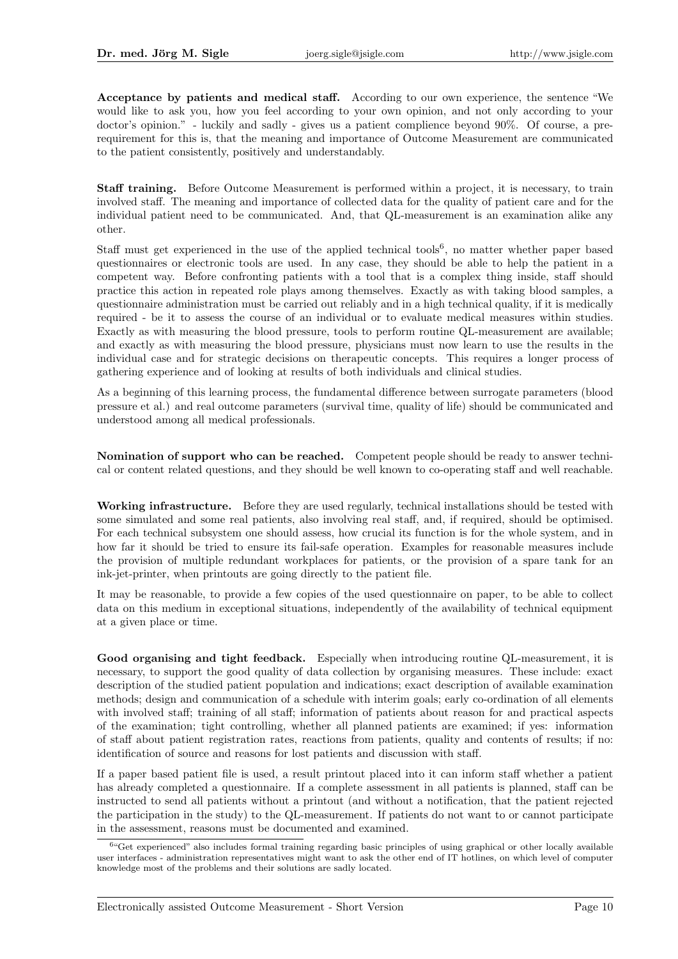Acceptance by patients and medical staff. According to our own experience, the sentence "We would like to ask you, how you feel according to your own opinion, and not only according to your doctor's opinion." - luckily and sadly - gives us a patient complience beyond 90%. Of course, a prerequirement for this is, that the meaning and importance of Outcome Measurement are communicated to the patient consistently, positively and understandably.

Staff training. Before Outcome Measurement is performed within a project, it is necessary, to train involved staff. The meaning and importance of collected data for the quality of patient care and for the individual patient need to be communicated. And, that QL-measurement is an examination alike any other.

Staff must get experienced in the use of the applied technical tools<sup>6</sup>, no matter whether paper based questionnaires or electronic tools are used. In any case, they should be able to help the patient in a competent way. Before confronting patients with a tool that is a complex thing inside, staff should practice this action in repeated role plays among themselves. Exactly as with taking blood samples, a questionnaire administration must be carried out reliably and in a high technical quality, if it is medically required - be it to assess the course of an individual or to evaluate medical measures within studies. Exactly as with measuring the blood pressure, tools to perform routine QL-measurement are available; and exactly as with measuring the blood pressure, physicians must now learn to use the results in the individual case and for strategic decisions on therapeutic concepts. This requires a longer process of gathering experience and of looking at results of both individuals and clinical studies.

As a beginning of this learning process, the fundamental difference between surrogate parameters (blood pressure et al.) and real outcome parameters (survival time, quality of life) should be communicated and understood among all medical professionals.

Nomination of support who can be reached. Competent people should be ready to answer technical or content related questions, and they should be well known to co-operating staff and well reachable.

Working infrastructure. Before they are used regularly, technical installations should be tested with some simulated and some real patients, also involving real staff, and, if required, should be optimised. For each technical subsystem one should assess, how crucial its function is for the whole system, and in how far it should be tried to ensure its fail-safe operation. Examples for reasonable measures include the provision of multiple redundant workplaces for patients, or the provision of a spare tank for an ink-jet-printer, when printouts are going directly to the patient file.

It may be reasonable, to provide a few copies of the used questionnaire on paper, to be able to collect data on this medium in exceptional situations, independently of the availability of technical equipment at a given place or time.

Good organising and tight feedback. Especially when introducing routine QL-measurement, it is necessary, to support the good quality of data collection by organising measures. These include: exact description of the studied patient population and indications; exact description of available examination methods; design and communication of a schedule with interim goals; early co-ordination of all elements with involved staff; training of all staff; information of patients about reason for and practical aspects of the examination; tight controlling, whether all planned patients are examined; if yes: information of staff about patient registration rates, reactions from patients, quality and contents of results; if no: identification of source and reasons for lost patients and discussion with staff.

If a paper based patient file is used, a result printout placed into it can inform staff whether a patient has already completed a questionnaire. If a complete assessment in all patients is planned, staff can be instructed to send all patients without a printout (and without a notification, that the patient rejected the participation in the study) to the QL-measurement. If patients do not want to or cannot participate in the assessment, reasons must be documented and examined.

<sup>6</sup>"Get experienced" also includes formal training regarding basic principles of using graphical or other locally available user interfaces - administration representatives might want to ask the other end of IT hotlines, on which level of computer knowledge most of the problems and their solutions are sadly located.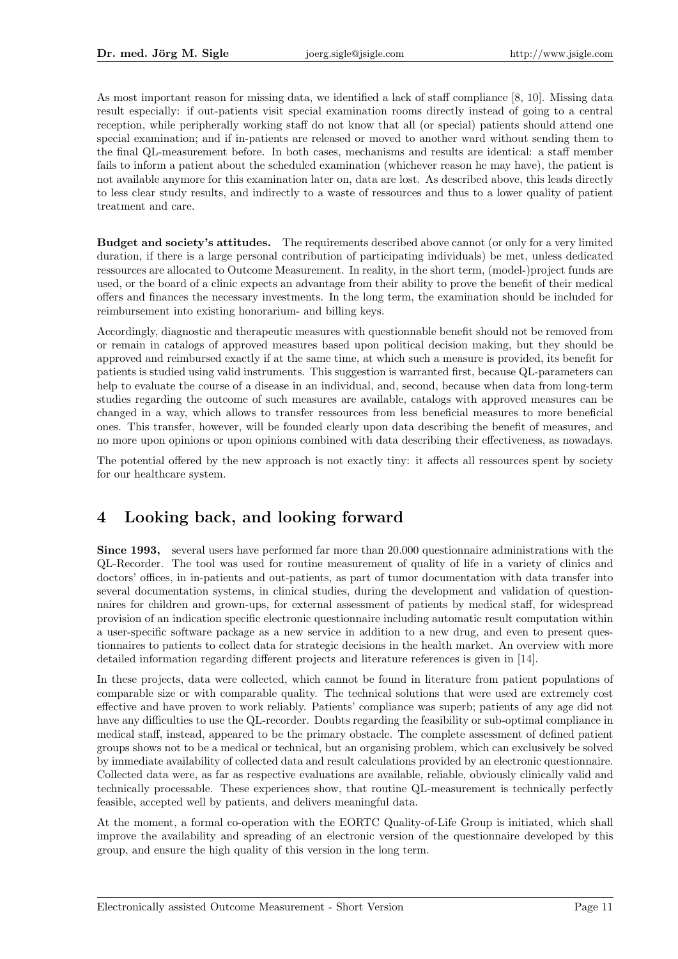As most important reason for missing data, we identified a lack of staff compliance [8, 10]. Missing data result especially: if out-patients visit special examination rooms directly instead of going to a central reception, while peripherally working staff do not know that all (or special) patients should attend one special examination; and if in-patients are released or moved to another ward without sending them to the final QL-measurement before. In both cases, mechanisms and results are identical: a staff member fails to inform a patient about the scheduled examination (whichever reason he may have), the patient is not available anymore for this examination later on, data are lost. As described above, this leads directly to less clear study results, and indirectly to a waste of ressources and thus to a lower quality of patient treatment and care.

Budget and society's attitudes. The requirements described above cannot (or only for a very limited duration, if there is a large personal contribution of participating individuals) be met, unless dedicated ressources are allocated to Outcome Measurement. In reality, in the short term, (model-)project funds are used, or the board of a clinic expects an advantage from their ability to prove the benefit of their medical offers and finances the necessary investments. In the long term, the examination should be included for reimbursement into existing honorarium- and billing keys.

Accordingly, diagnostic and therapeutic measures with questionnable benefit should not be removed from or remain in catalogs of approved measures based upon political decision making, but they should be approved and reimbursed exactly if at the same time, at which such a measure is provided, its benefit for patients is studied using valid instruments. This suggestion is warranted first, because QL-parameters can help to evaluate the course of a disease in an individual, and, second, because when data from long-term studies regarding the outcome of such measures are available, catalogs with approved measures can be changed in a way, which allows to transfer ressources from less beneficial measures to more beneficial ones. This transfer, however, will be founded clearly upon data describing the benefit of measures, and no more upon opinions or upon opinions combined with data describing their effectiveness, as nowadays.

The potential offered by the new approach is not exactly tiny: it affects all ressources spent by society for our healthcare system.

# 4 Looking back, and looking forward

Since 1993, several users have performed far more than 20.000 questionnaire administrations with the QL-Recorder. The tool was used for routine measurement of quality of life in a variety of clinics and doctors' offices, in in-patients and out-patients, as part of tumor documentation with data transfer into several documentation systems, in clinical studies, during the development and validation of questionnaires for children and grown-ups, for external assessment of patients by medical staff, for widespread provision of an indication specific electronic questionnaire including automatic result computation within a user-specific software package as a new service in addition to a new drug, and even to present questionnaires to patients to collect data for strategic decisions in the health market. An overview with more detailed information regarding different projects and literature references is given in [14].

In these projects, data were collected, which cannot be found in literature from patient populations of comparable size or with comparable quality. The technical solutions that were used are extremely cost effective and have proven to work reliably. Patients' compliance was superb; patients of any age did not have any difficulties to use the QL-recorder. Doubts regarding the feasibility or sub-optimal compliance in medical staff, instead, appeared to be the primary obstacle. The complete assessment of defined patient groups shows not to be a medical or technical, but an organising problem, which can exclusively be solved by immediate availability of collected data and result calculations provided by an electronic questionnaire. Collected data were, as far as respective evaluations are available, reliable, obviously clinically valid and technically processable. These experiences show, that routine QL-measurement is technically perfectly feasible, accepted well by patients, and delivers meaningful data.

At the moment, a formal co-operation with the EORTC Quality-of-Life Group is initiated, which shall improve the availability and spreading of an electronic version of the questionnaire developed by this group, and ensure the high quality of this version in the long term.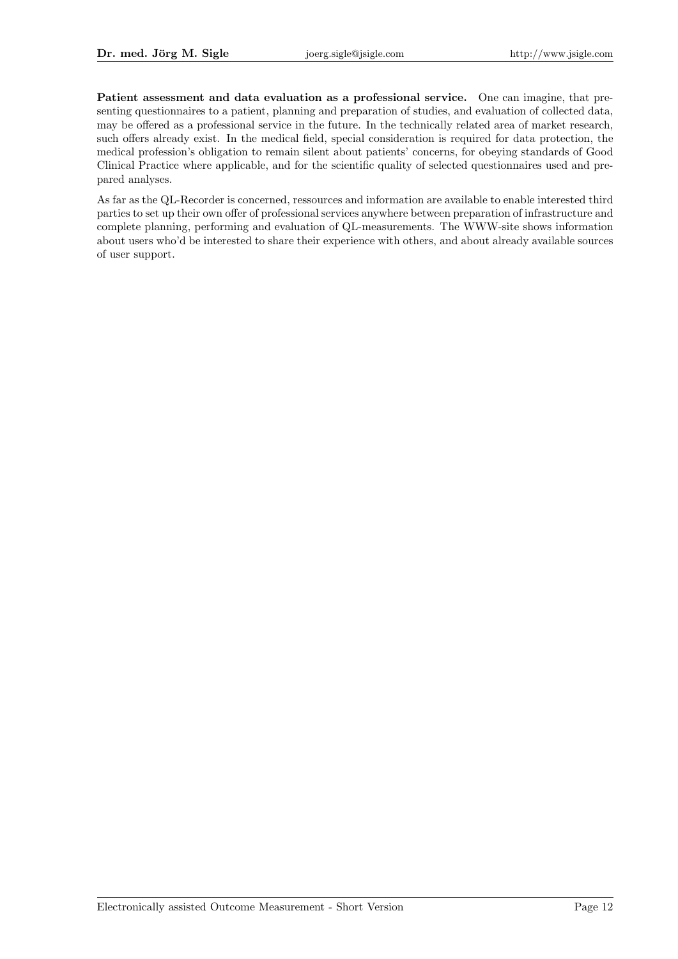Patient assessment and data evaluation as a professional service. One can imagine, that presenting questionnaires to a patient, planning and preparation of studies, and evaluation of collected data, may be offered as a professional service in the future. In the technically related area of market research, such offers already exist. In the medical field, special consideration is required for data protection, the medical profession's obligation to remain silent about patients' concerns, for obeying standards of Good Clinical Practice where applicable, and for the scientific quality of selected questionnaires used and prepared analyses.

As far as the QL-Recorder is concerned, ressources and information are available to enable interested third parties to set up their own offer of professional services anywhere between preparation of infrastructure and complete planning, performing and evaluation of QL-measurements. The WWW-site shows information about users who'd be interested to share their experience with others, and about already available sources of user support.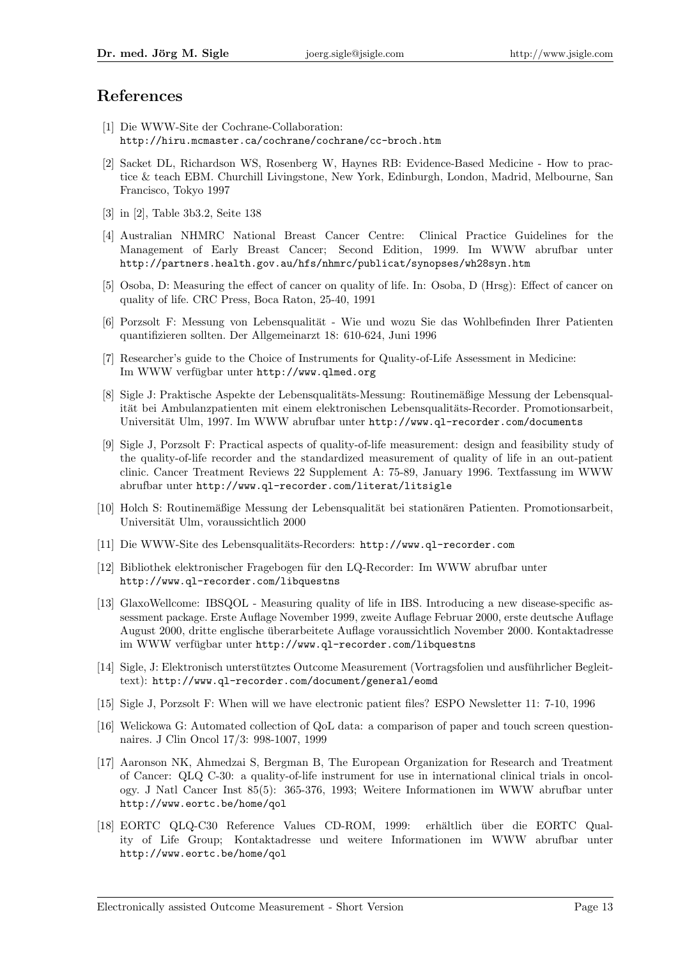#### References

- [1] Die WWW-Site der Cochrane-Collaboration: http://hiru.mcmaster.ca/cochrane/cochrane/cc-broch.htm
- [2] Sacket DL, Richardson WS, Rosenberg W, Haynes RB: Evidence-Based Medicine How to practice & teach EBM. Churchill Livingstone, New York, Edinburgh, London, Madrid, Melbourne, San Francisco, Tokyo 1997
- [3] in [2], Table 3b3.2, Seite 138
- [4] Australian NHMRC National Breast Cancer Centre: Clinical Practice Guidelines for the Management of Early Breast Cancer; Second Edition, 1999. Im WWW abrufbar unter http://partners.health.gov.au/hfs/nhmrc/publicat/synopses/wh28syn.htm
- [5] Osoba, D: Measuring the effect of cancer on quality of life. In: Osoba, D (Hrsg): Effect of cancer on quality of life. CRC Press, Boca Raton, 25-40, 1991
- [6] Porzsolt F: Messung von Lebensqualität Wie und wozu Sie das Wohlbefinden Ihrer Patienten quantifizieren sollten. Der Allgemeinarzt 18: 610-624, Juni 1996
- [7] Researcher's guide to the Choice of Instruments for Quality-of-Life Assessment in Medicine: Im WWW verfügbar unter http://www.qlmed.org
- [8] Sigle J: Praktische Aspekte der Lebensqualitäts-Messung: Routinemäßige Messung der Lebensqualität bei Ambulanzpatienten mit einem elektronischen Lebensqualitäts-Recorder. Promotionsarbeit, Universität Ulm, 1997. Im WWW abrufbar unter http://www.ql-recorder.com/documents
- [9] Sigle J, Porzsolt F: Practical aspects of quality-of-life measurement: design and feasibility study of the quality-of-life recorder and the standardized measurement of quality of life in an out-patient clinic. Cancer Treatment Reviews 22 Supplement A: 75-89, January 1996. Textfassung im WWW abrufbar unter http://www.ql-recorder.com/literat/litsigle
- [10] Holch S: Routinemäßige Messung der Lebensqualität bei stationären Patienten. Promotionsarbeit, Universität Ulm, voraussichtlich 2000
- [11] Die WWW-Site des Lebensqualitäts-Recorders: http://www.ql-recorder.com
- [12] Bibliothek elektronischer Fragebogen fur den LQ-Recorder: Im WWW abrufbar unter ¨ http://www.ql-recorder.com/libquestns
- [13] GlaxoWellcome: IBSQOL Measuring quality of life in IBS. Introducing a new disease-specific assessment package. Erste Auflage November 1999, zweite Auflage Februar 2000, erste deutsche Auflage August 2000, dritte englische uberarbeitete Auflage voraussichtlich November 2000. Kontaktadresse ¨ im WWW verfügbar unter http://www.ql-recorder.com/libquestns
- [14] Sigle, J: Elektronisch unterstütztes Outcome Measurement (Vortragsfolien und ausführlicher Begleittext): http://www.ql-recorder.com/document/general/eomd
- [15] Sigle J, Porzsolt F: When will we have electronic patient files? ESPO Newsletter 11: 7-10, 1996
- [16] Welickowa G: Automated collection of QoL data: a comparison of paper and touch screen questionnaires. J Clin Oncol 17/3: 998-1007, 1999
- [17] Aaronson NK, Ahmedzai S, Bergman B, The European Organization for Research and Treatment of Cancer: QLQ C-30: a quality-of-life instrument for use in international clinical trials in oncology. J Natl Cancer Inst 85(5): 365-376, 1993; Weitere Informationen im WWW abrufbar unter http://www.eortc.be/home/qol
- [18] EORTC QLQ-C30 Reference Values CD-ROM, 1999: erhältlich über die EORTC Quality of Life Group; Kontaktadresse und weitere Informationen im WWW abrufbar unter http://www.eortc.be/home/qol